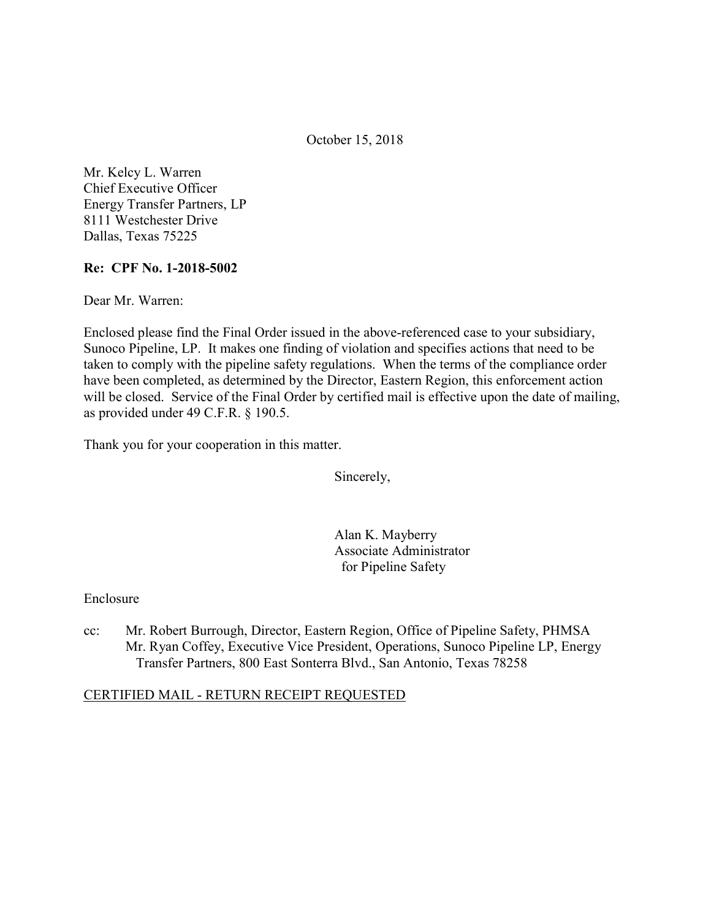October 15, 2018

 Mr. Kelcy L. Warren Chief Executive Officer Energy Transfer Partners, LP 8111 Westchester Drive Dallas, Texas 75225

### Re: CPF No. 1-2018-5002

Dear Mr. Warren:

 Enclosed please find the Final Order issued in the above-referenced case to your subsidiary, Sunoco Pipeline, LP. It makes one finding of violation and specifies actions that need to be taken to comply with the pipeline safety regulations. When the terms of the compliance order have been completed, as determined by the Director, Eastern Region, this enforcement action will be closed. Service of the Final Order by certified mail is effective upon the date of mailing, as provided under 49 C.F.R. § 190.5.

Thank you for your cooperation in this matter.

Sincerely,

 Alan K. Mayberry Associate Administrator for Pipeline Safety

Enclosure

 $cc$ : Transfer Partners, 800 East Sonterra Blvd., San Antonio, Texas 78258 Mr. Robert Burrough, Director, Eastern Region, Office of Pipeline Safety, PHMSA Mr. Ryan Coffey, Executive Vice President, Operations, Sunoco Pipeline LP, Energy

#### CERTIFIED MAIL - RETURN RECEIPT REQUESTED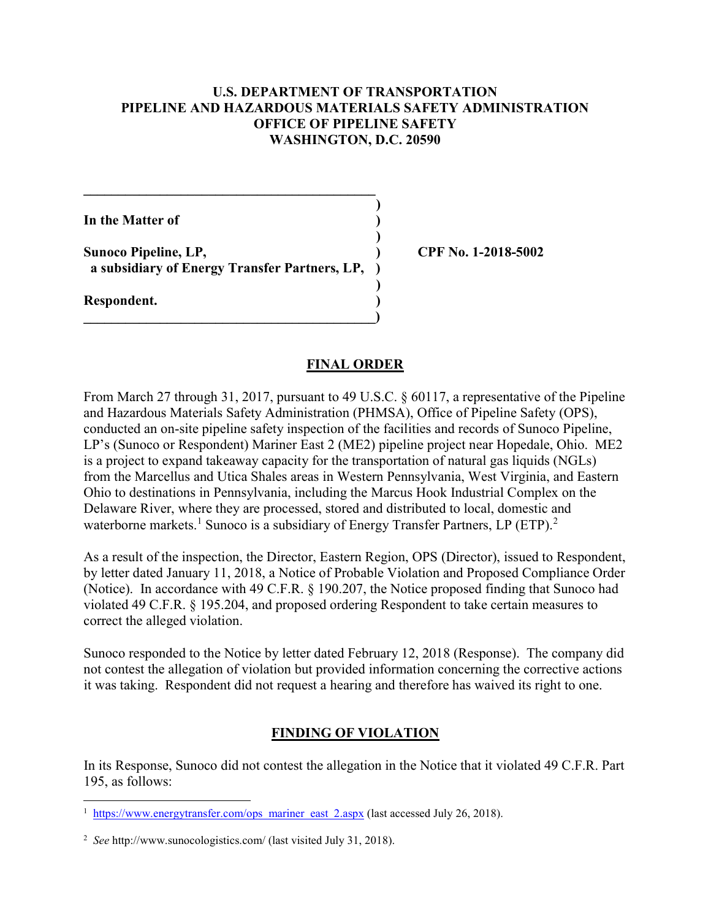### U.S. DEPARTMENT OF TRANSPORTATION PIPELINE AND HAZARDOUS MATERIALS SAFETY ADMINISTRATION OFFICE OF PIPELINE SAFETY WASHINGTON, D.C. 20590

)

)

)

In the Matter of  $\qquad \qquad$  )

Sunoco Pipeline, LP, (2018-5002) a subsidiary of Energy Transfer Partners, LP, )

 $\qquad \qquad \Box$ 

 $\mathcal{L}_\text{max}$  and  $\mathcal{L}_\text{max}$  and  $\mathcal{L}_\text{max}$  and  $\mathcal{L}_\text{max}$ 

Respondent. )

1

#### FINAL ORDER

 From March 27 through 31, 2017, pursuant to 49 U.S.C. § 60117, a representative of the Pipeline and Hazardous Materials Safety Administration (PHMSA), Office of Pipeline Safety (OPS), conducted an on-site pipeline safety inspection of the facilities and records of Sunoco Pipeline, LP's (Sunoco or Respondent) Mariner East 2 (ME2) pipeline project near Hopedale, Ohio. ME2 is a project to expand takeaway capacity for the transportation of natural gas liquids (NGLs) from the Marcellus and Utica Shales areas in Western Pennsylvania, West Virginia, and Eastern Ohio to destinations in Pennsylvania, including the Marcus Hook Industrial Complex on the Delaware River, where they are processed, stored and distributed to local, domestic and waterborne markets.<sup>1</sup> Sunoco is a subsidiary of Energy Transfer Partners, LP (ETP).<sup>2</sup>

 As a result of the inspection, the Director, Eastern Region, OPS (Director), issued to Respondent, by letter dated January 11, 2018, a Notice of Probable Violation and Proposed Compliance Order (Notice). In accordance with 49 C.F.R. § 190.207, the Notice proposed finding that Sunoco had violated 49 C.F.R. § 195.204, and proposed ordering Respondent to take certain measures to correct the alleged violation.

 Sunoco responded to the Notice by letter dated February 12, 2018 (Response). The company did not contest the allegation of violation but provided information concerning the corrective actions it was taking. Respondent did not request a hearing and therefore has waived its right to one.

# FINDING OF VIOLATION

 In its Response, Sunoco did not contest the allegation in the Notice that it violated 49 C.F.R. Part 195, as follows:

 $\frac{1 \text{ https://www.energytransfer.com/ops} \text{mirror} \text{ east} \text{ 2.aspx}}{1 \text{ last accessed July 26, 2018}}$ .

 $2$  See http://www.sunocologistics.com/ (last visited July 31, 2018).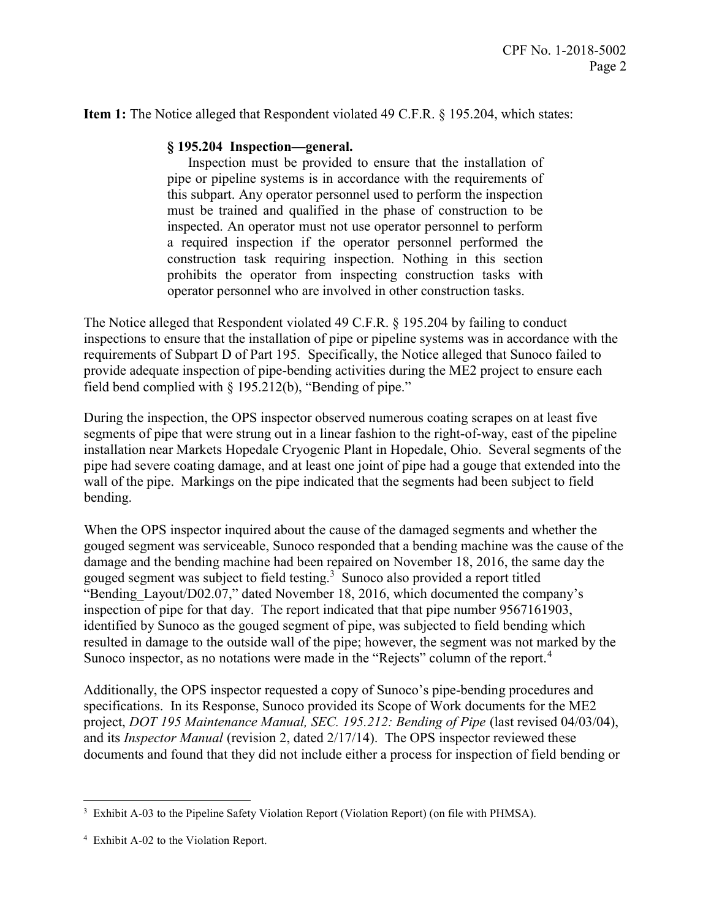Item 1: The Notice alleged that Respondent violated 49 C.F.R. § 195.204, which states:

#### § 195.204 Inspection—general.

 Inspection must be provided to ensure that the installation of pipe or pipeline systems is in accordance with the requirements of this subpart. Any operator personnel used to perform the inspection must be trained and qualified in the phase of construction to be inspected. An operator must not use operator personnel to perform a required inspection if the operator personnel performed the construction task requiring inspection. Nothing in this section prohibits the operator from inspecting construction tasks with operator personnel who are involved in other construction tasks.

 The Notice alleged that Respondent violated 49 C.F.R. § 195.204 by failing to conduct inspections to ensure that the installation of pipe or pipeline systems was in accordance with the requirements of Subpart D of Part 195. Specifically, the Notice alleged that Sunoco failed to provide adequate inspection of pipe-bending activities during the ME2 project to ensure each field bend complied with § 195.212(b), "Bending of pipe."

 During the inspection, the OPS inspector observed numerous coating scrapes on at least five segments of pipe that were strung out in a linear fashion to the right-of-way, east of the pipeline installation near Markets Hopedale Cryogenic Plant in Hopedale, Ohio. Several segments of the pipe had severe coating damage, and at least one joint of pipe had a gouge that extended into the wall of the pipe. Markings on the pipe indicated that the segments had been subject to field bending.

 When the OPS inspector inquired about the cause of the damaged segments and whether the gouged segment was serviceable, Sunoco responded that a bending machine was the cause of the damage and the bending machine had been repaired on November 18, 2016, the same day the gouged segment was subject to field testing.<sup>3</sup> Sunoco also provided a report titled "Bending Layout/D02.07," dated November 18, 2016, which documented the company's inspection of pipe for that day. The report indicated that that pipe number 9567161903, identified by Sunoco as the gouged segment of pipe, was subjected to field bending which resulted in damage to the outside wall of the pipe; however, the segment was not marked by the Sunoco inspector, as no notations were made in the "Rejects" column of the report.<sup>4</sup>

 Additionally, the OPS inspector requested a copy of Sunoco's pipe-bending procedures and specifications. In its Response, Sunoco provided its Scope of Work documents for the ME2 project, DOT 195 Maintenance Manual, SEC. 195.212: Bending of Pipe (last revised 04/03/04), and its Inspector Manual (revision 2, dated 2/17/14). The OPS inspector reviewed these documents and found that they did not include either a process for inspection of field bending or

1

<sup>&</sup>lt;sup>3</sup> Exhibit A-03 to the Pipeline Safety Violation Report (Violation Report) (on file with PHMSA).

<sup>&</sup>lt;sup>4</sup> Exhibit A-02 to the Violation Report.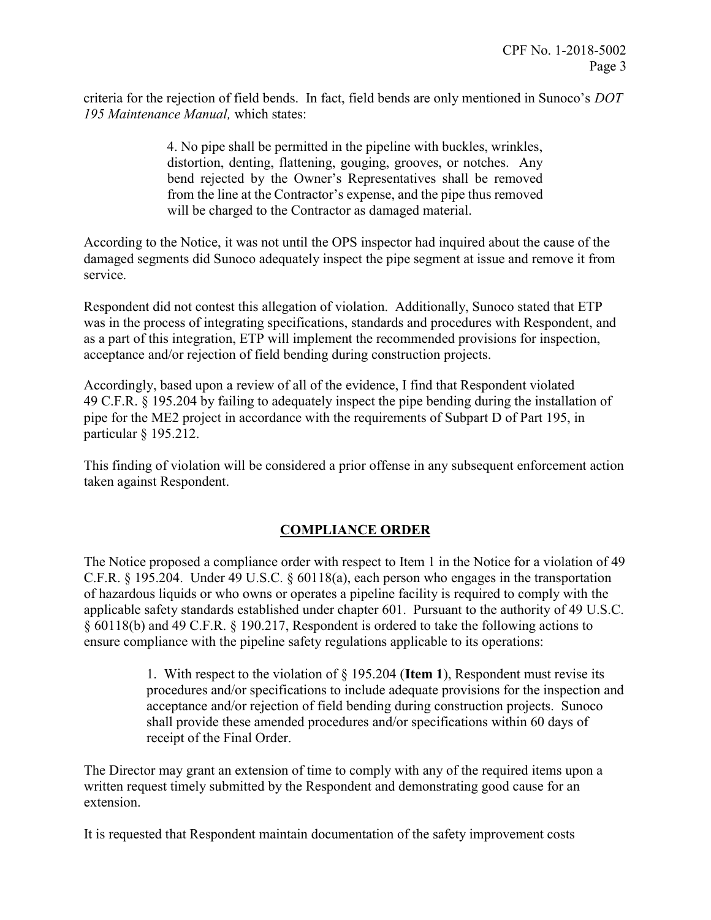criteria for the rejection of field bends. In fact, field bends are only mentioned in Sunoco's DOT 195 Maintenance Manual, which states:

> 4. No pipe shall be permitted in the pipeline with buckles, wrinkles, distortion, denting, flattening, gouging, grooves, or notches. Any bend rejected by the Owner's Representatives shall be removed from the line at the Contractor's expense, and the pipe thus removed will be charged to the Contractor as damaged material.

 According to the Notice, it was not until the OPS inspector had inquired about the cause of the damaged segments did Sunoco adequately inspect the pipe segment at issue and remove it from service.

 Respondent did not contest this allegation of violation. Additionally, Sunoco stated that ETP was in the process of integrating specifications, standards and procedures with Respondent, and as a part of this integration, ETP will implement the recommended provisions for inspection, acceptance and/or rejection of field bending during construction projects.

 Accordingly, based upon a review of all of the evidence, I find that Respondent violated 49 C.F.R. § 195.204 by failing to adequately inspect the pipe bending during the installation of pipe for the ME2 project in accordance with the requirements of Subpart D of Part 195, in particular § 195.212.

 This finding of violation will be considered a prior offense in any subsequent enforcement action taken against Respondent.

# COMPLIANCE ORDER

 The Notice proposed a compliance order with respect to Item 1 in the Notice for a violation of 49 C.F.R. § 195.204. Under 49 U.S.C. § 60118(a), each person who engages in the transportation of hazardous liquids or who owns or operates a pipeline facility is required to comply with the applicable safety standards established under chapter 601. Pursuant to the authority of 49 U.S.C. § 60118(b) and 49 C.F.R. § 190.217, Respondent is ordered to take the following actions to ensure compliance with the pipeline safety regulations applicable to its operations:

> 1. With respect to the violation of § 195.204 (Item 1), Respondent must revise its procedures and/or specifications to include adequate provisions for the inspection and acceptance and/or rejection of field bending during construction projects. Sunoco shall provide these amended procedures and/or specifications within 60 days of receipt of the Final Order.

 The Director may grant an extension of time to comply with any of the required items upon a written request timely submitted by the Respondent and demonstrating good cause for an extension.

It is requested that Respondent maintain documentation of the safety improvement costs